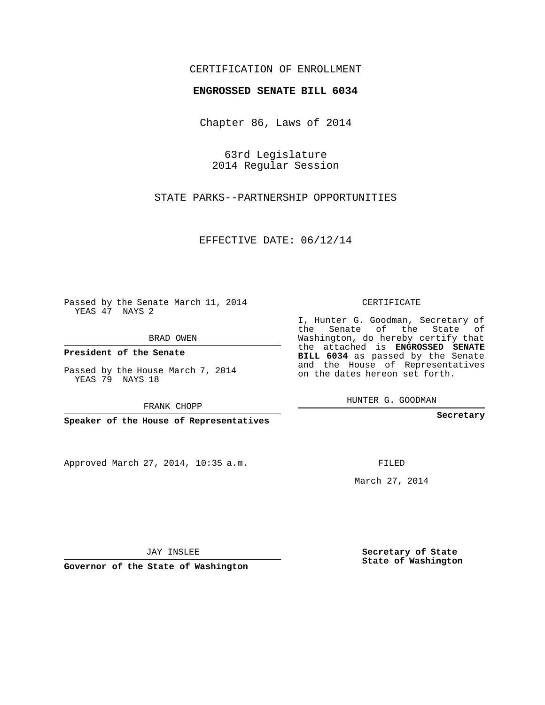## CERTIFICATION OF ENROLLMENT

## **ENGROSSED SENATE BILL 6034**

Chapter 86, Laws of 2014

63rd Legislature 2014 Regular Session

STATE PARKS--PARTNERSHIP OPPORTUNITIES

EFFECTIVE DATE: 06/12/14

Passed by the Senate March 11, 2014 YEAS 47 NAYS 2

BRAD OWEN

**President of the Senate**

Passed by the House March 7, 2014 YEAS 79 NAYS 18

FRANK CHOPP

**Speaker of the House of Representatives**

Approved March 27, 2014, 10:35 a.m.

CERTIFICATE

I, Hunter G. Goodman, Secretary of the Senate of the State of Washington, do hereby certify that the attached is **ENGROSSED SENATE BILL 6034** as passed by the Senate and the House of Representatives on the dates hereon set forth.

HUNTER G. GOODMAN

**Secretary**

FILED

March 27, 2014

**Secretary of State State of Washington**

JAY INSLEE

**Governor of the State of Washington**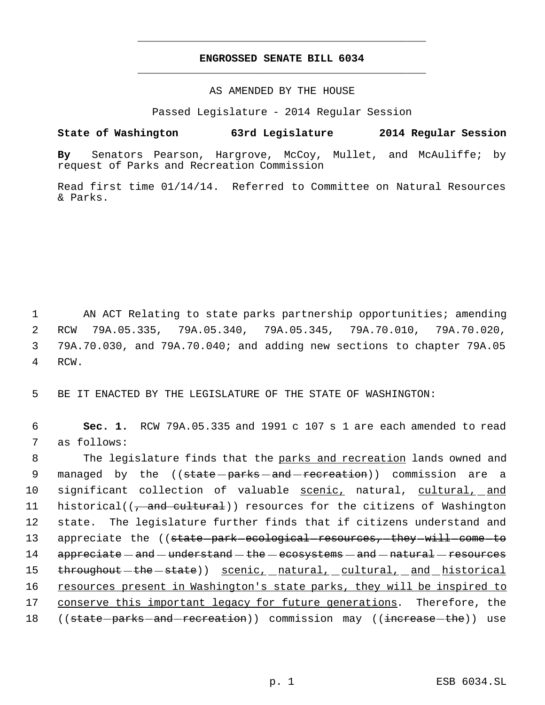## **ENGROSSED SENATE BILL 6034** \_\_\_\_\_\_\_\_\_\_\_\_\_\_\_\_\_\_\_\_\_\_\_\_\_\_\_\_\_\_\_\_\_\_\_\_\_\_\_\_\_\_\_\_\_

\_\_\_\_\_\_\_\_\_\_\_\_\_\_\_\_\_\_\_\_\_\_\_\_\_\_\_\_\_\_\_\_\_\_\_\_\_\_\_\_\_\_\_\_\_

AS AMENDED BY THE HOUSE

Passed Legislature - 2014 Regular Session

## **State of Washington 63rd Legislature 2014 Regular Session**

**By** Senators Pearson, Hargrove, McCoy, Mullet, and McAuliffe; by request of Parks and Recreation Commission

Read first time 01/14/14. Referred to Committee on Natural Resources & Parks.

1 AN ACT Relating to state parks partnership opportunities; amending 2 RCW 79A.05.335, 79A.05.340, 79A.05.345, 79A.70.010, 79A.70.020, 3 79A.70.030, and 79A.70.040; and adding new sections to chapter 79A.05 4 RCW.

5 BE IT ENACTED BY THE LEGISLATURE OF THE STATE OF WASHINGTON:

 6 **Sec. 1.** RCW 79A.05.335 and 1991 c 107 s 1 are each amended to read 7 as follows:

8 The legislature finds that the parks and recreation lands owned and 9 managed by the ((state-parks-and-recreation)) commission are a 10 significant collection of valuable scenic, natural, cultural, and 11 historical((, and cultural)) resources for the citizens of Washington 12 state. The legislature further finds that if citizens understand and 13 appreciate the ((state-park-ecological-resources,-they-will-come-to 14 appreciate — and — understand — the — ecosystems — and — natural — resources 15 throughout - the - state)) scenic, natural, cultural, and historical 16 resources present in Washington's state parks, they will be inspired to 17 conserve this important legacy for future generations. Therefore, the 18 ((<del>state parks and recreation</del>)) commission may ((<del>increase the</del>)) use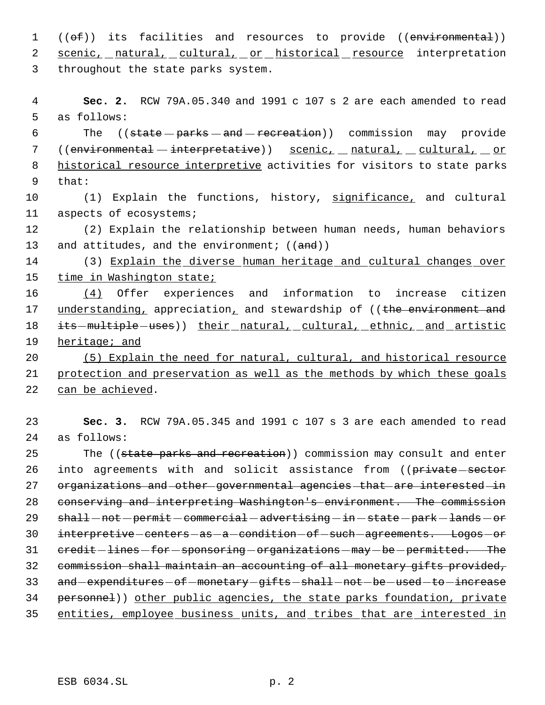1 (( $\Theta$ f)) its facilities and resources to provide ((environmental)) 2 scenic, natural, cultural, or historical resource interpretation 3 throughout the state parks system.

 4 **Sec. 2.** RCW 79A.05.340 and 1991 c 107 s 2 are each amended to read 5 as follows:

6 The ((state parks - and - recreation)) commission may provide 7 ((environmental - interpretative)) scenic, natural, cultural, or 8 historical resource interpretive activities for visitors to state parks 9 that:

10 (1) Explain the functions, history, significance, and cultural 11 aspects of ecosystems;

12 (2) Explain the relationship between human needs, human behaviors 13 and attitudes, and the environment;  $((and))$ 

14 (3) Explain the diverse human heritage and cultural changes over 15 time in Washington state;

16 (4) Offer experiences and information to increase citizen 17 understanding, appreciation, and stewardship of ((the environment and 18 its - multiple - uses)) their natural, cultural, ethnic, and artistic 19 heritage; and

20 (5) Explain the need for natural, cultural, and historical resource 21 protection and preservation as well as the methods by which these goals 22 can be achieved.

23 **Sec. 3.** RCW 79A.05.345 and 1991 c 107 s 3 are each amended to read 24 as follows:

25 The ((state parks and recreation)) commission may consult and enter 26 into agreements with and solicit assistance from ((private-sector 27 organizations and other governmental agencies that are interested in 28 conserving and interpreting Washington's environment. The commission 29 shall - not - permit - commercial - advertising - in - state - park - lands - or 30 interpretive centers as a condition of such agreements. Logos or 31 credit - lines - for - sponsoring - organizations - may - be - permitted. The 32 commission shall maintain an accounting of all monetary gifts provided, 33 and expenditures of monetary gifts shall not be used to increase 34 personnel)) other public agencies, the state parks foundation, private 35 entities, employee business units, and tribes that are interested in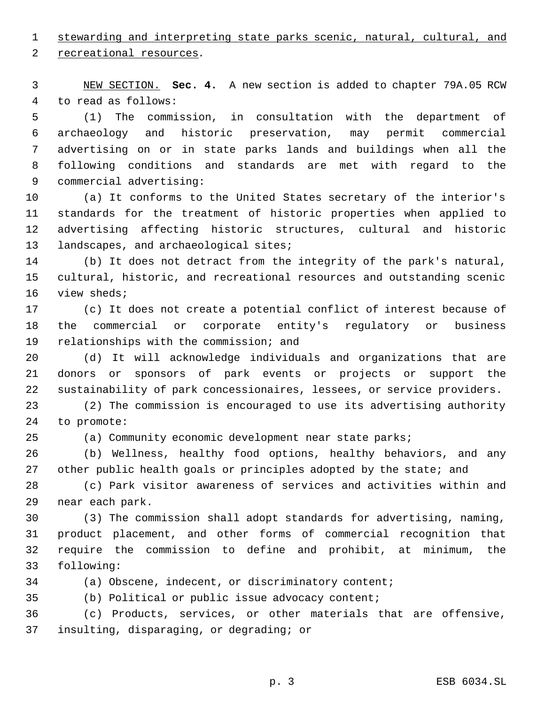stewarding and interpreting state parks scenic, natural, cultural, and

recreational resources.

 NEW SECTION. **Sec. 4.** A new section is added to chapter 79A.05 RCW to read as follows:

 (1) The commission, in consultation with the department of archaeology and historic preservation, may permit commercial advertising on or in state parks lands and buildings when all the following conditions and standards are met with regard to the commercial advertising:

 (a) It conforms to the United States secretary of the interior's standards for the treatment of historic properties when applied to advertising affecting historic structures, cultural and historic 13 landscapes, and archaeological sites;

 (b) It does not detract from the integrity of the park's natural, cultural, historic, and recreational resources and outstanding scenic view sheds;

 (c) It does not create a potential conflict of interest because of the commercial or corporate entity's regulatory or business relationships with the commission; and

 (d) It will acknowledge individuals and organizations that are donors or sponsors of park events or projects or support the sustainability of park concessionaires, lessees, or service providers.

 (2) The commission is encouraged to use its advertising authority to promote:

(a) Community economic development near state parks;

 (b) Wellness, healthy food options, healthy behaviors, and any 27 other public health goals or principles adopted by the state; and

 (c) Park visitor awareness of services and activities within and near each park.

 (3) The commission shall adopt standards for advertising, naming, product placement, and other forms of commercial recognition that require the commission to define and prohibit, at minimum, the following:

(a) Obscene, indecent, or discriminatory content;

(b) Political or public issue advocacy content;

 (c) Products, services, or other materials that are offensive, insulting, disparaging, or degrading; or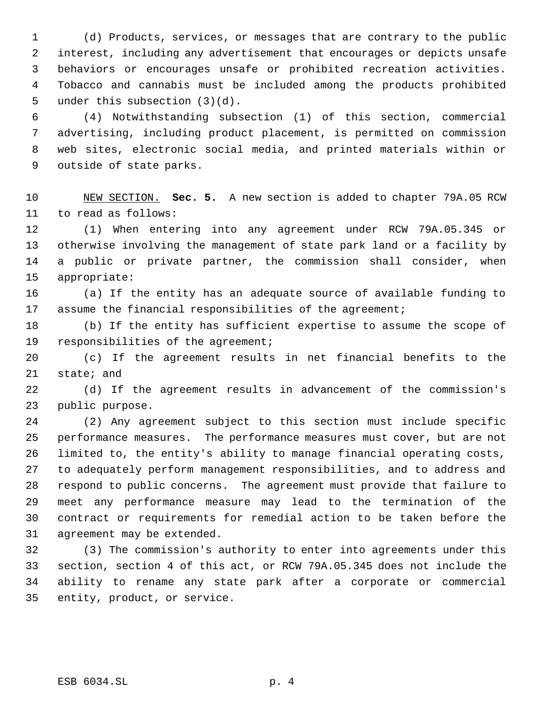(d) Products, services, or messages that are contrary to the public interest, including any advertisement that encourages or depicts unsafe behaviors or encourages unsafe or prohibited recreation activities. Tobacco and cannabis must be included among the products prohibited 5 under this subsection  $(3)(d)$ .

 (4) Notwithstanding subsection (1) of this section, commercial advertising, including product placement, is permitted on commission web sites, electronic social media, and printed materials within or outside of state parks.

 NEW SECTION. **Sec. 5.** A new section is added to chapter 79A.05 RCW to read as follows:

 (1) When entering into any agreement under RCW 79A.05.345 or otherwise involving the management of state park land or a facility by a public or private partner, the commission shall consider, when appropriate:

 (a) If the entity has an adequate source of available funding to assume the financial responsibilities of the agreement;

 (b) If the entity has sufficient expertise to assume the scope of responsibilities of the agreement;

 (c) If the agreement results in net financial benefits to the state; and

 (d) If the agreement results in advancement of the commission's public purpose.

 (2) Any agreement subject to this section must include specific performance measures. The performance measures must cover, but are not limited to, the entity's ability to manage financial operating costs, to adequately perform management responsibilities, and to address and respond to public concerns. The agreement must provide that failure to meet any performance measure may lead to the termination of the contract or requirements for remedial action to be taken before the agreement may be extended.

 (3) The commission's authority to enter into agreements under this section, section 4 of this act, or RCW 79A.05.345 does not include the ability to rename any state park after a corporate or commercial entity, product, or service.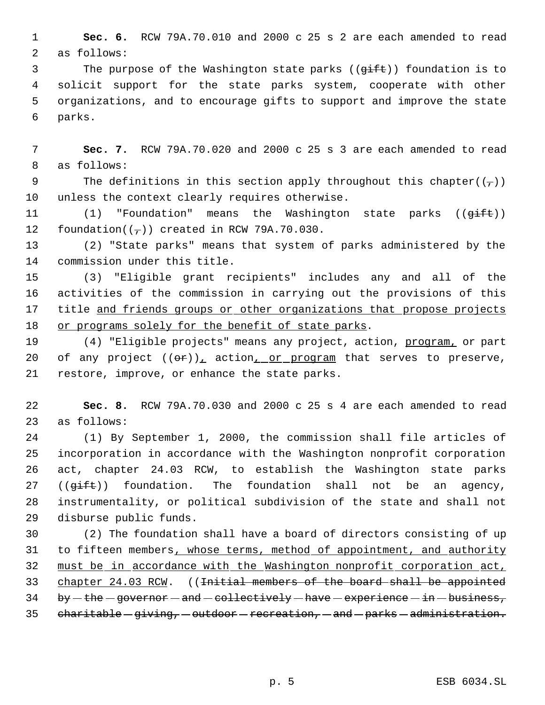**Sec. 6.** RCW 79A.70.010 and 2000 c 25 s 2 are each amended to read as follows:

3 The purpose of the Washington state parks (( $\overline{q}$ ift)) foundation is to solicit support for the state parks system, cooperate with other organizations, and to encourage gifts to support and improve the state parks.

 **Sec. 7.** RCW 79A.70.020 and 2000 c 25 s 3 are each amended to read as follows:

9 The definitions in this section apply throughout this chapter( $(\tau)$ ) unless the context clearly requires otherwise.

 $(1)$  "Foundation" means the Washington state parks  $((\overrightarrow{q} + \overrightarrow{t})^2)$ 12 foundation( $(\frac{\pi}{2})$ ) created in RCW 79A.70.030.

 (2) "State parks" means that system of parks administered by the commission under this title.

 (3) "Eligible grant recipients" includes any and all of the activities of the commission in carrying out the provisions of this 17 title and friends groups or other organizations that propose projects or programs solely for the benefit of state parks.

19 (4) "Eligible projects" means any project, action, program, or part 20 of any project  $((\theta \hat{r}))_+$  action<sub>1</sub> or program that serves to preserve, restore, improve, or enhance the state parks.

 **Sec. 8.** RCW 79A.70.030 and 2000 c 25 s 4 are each amended to read as follows:

 (1) By September 1, 2000, the commission shall file articles of incorporation in accordance with the Washington nonprofit corporation act, chapter 24.03 RCW, to establish the Washington state parks 27 ( $(\overline{qift})$ ) foundation. The foundation shall not be an agency, instrumentality, or political subdivision of the state and shall not disburse public funds.

 (2) The foundation shall have a board of directors consisting of up 31 to fifteen members, whose terms, method of appointment, and authority must be in accordance with the Washington nonprofit corporation act, chapter 24.03 RCW. ((Initial members of the board shall be appointed by  $-$  the  $-$  governor  $-$  and  $-$  collectively  $-$  have  $-$  experience  $-$  in  $-$  business,  $charitable - giving, -outdoor -recreation, - and - parks - administration.$